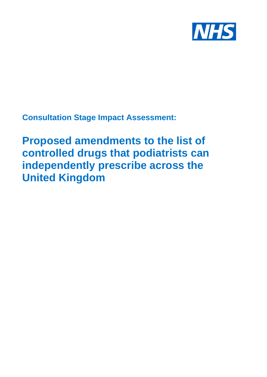

**Consultation Stage Impact Assessment:**

**Proposed amendments to the list of controlled drugs that podiatrists can independently prescribe across the United Kingdom**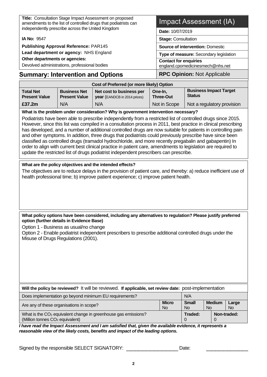|                                                                                                                            |                                             | Title: Consultation Stage Impact Assessment on proposed                                                                                                                                                                                                                                                                                                                                                                                                                                                                                       |  |                              |                                                |     |               |                                   |  |  |
|----------------------------------------------------------------------------------------------------------------------------|---------------------------------------------|-----------------------------------------------------------------------------------------------------------------------------------------------------------------------------------------------------------------------------------------------------------------------------------------------------------------------------------------------------------------------------------------------------------------------------------------------------------------------------------------------------------------------------------------------|--|------------------------------|------------------------------------------------|-----|---------------|-----------------------------------|--|--|
| amendments to the list of controlled drugs that podiatrists can<br>independently prescribe across the United Kingdom       |                                             |                                                                                                                                                                                                                                                                                                                                                                                                                                                                                                                                               |  |                              | Impact Assessment (IA)                         |     |               |                                   |  |  |
|                                                                                                                            | Date: 10/07/2019                            |                                                                                                                                                                                                                                                                                                                                                                                                                                                                                                                                               |  |                              |                                                |     |               |                                   |  |  |
| IA No: 9547                                                                                                                |                                             | <b>Stage: Consultation</b>                                                                                                                                                                                                                                                                                                                                                                                                                                                                                                                    |  |                              |                                                |     |               |                                   |  |  |
| <b>Publishing Approval Reference: PAR145</b><br>Lead department or agency: NHS England                                     |                                             | <b>Source of intervention: Domestic</b>                                                                                                                                                                                                                                                                                                                                                                                                                                                                                                       |  |                              |                                                |     |               |                                   |  |  |
| Other departments or agencies:                                                                                             |                                             |                                                                                                                                                                                                                                                                                                                                                                                                                                                                                                                                               |  | <b>Contact for enquiries</b> | Type of measure: Secondary legislation         |     |               |                                   |  |  |
| Devolved administrations, professional bodies                                                                              |                                             |                                                                                                                                                                                                                                                                                                                                                                                                                                                                                                                                               |  |                              | england.cpomedicinesmech@nhs.net               |     |               |                                   |  |  |
| <b>Summary: Intervention and Options</b>                                                                                   | <b>RPC Opinion: Not Applicable</b>          |                                                                                                                                                                                                                                                                                                                                                                                                                                                                                                                                               |  |                              |                                                |     |               |                                   |  |  |
|                                                                                                                            |                                             | Cost of Preferred (or more likely) Option                                                                                                                                                                                                                                                                                                                                                                                                                                                                                                     |  |                              |                                                |     |               |                                   |  |  |
| <b>Total Net</b><br><b>Present Value</b>                                                                                   | <b>Business Net</b><br><b>Present Value</b> | Net cost to business per<br>year (EANDCB in 2014 prices)                                                                                                                                                                                                                                                                                                                                                                                                                                                                                      |  | One-In,<br><b>Three-Out</b>  | <b>Business Impact Target</b><br><b>Status</b> |     |               |                                   |  |  |
| £37.2m                                                                                                                     | N/A                                         | N/A                                                                                                                                                                                                                                                                                                                                                                                                                                                                                                                                           |  | Not in Scope                 |                                                |     |               | Not a regulatory provision        |  |  |
|                                                                                                                            |                                             | What is the problem under consideration? Why is government intervention necessary?                                                                                                                                                                                                                                                                                                                                                                                                                                                            |  |                              |                                                |     |               |                                   |  |  |
|                                                                                                                            |                                             | has developed, and a number of additional controlled drugs are now suitable for patients in controlling pain<br>and other symptoms. In addition, three drugs that podiatrists could previously prescribe have since been<br>classified as controlled drugs (tramadol hydrochloride, and more recently pregabalin and gabapentin) In<br>order to align with current best clinical practice in patient care, amendments to legislation are required to<br>update the restricted list of drugs podiatrist independent prescribers can prescribe. |  |                              |                                                |     |               |                                   |  |  |
|                                                                                                                            |                                             |                                                                                                                                                                                                                                                                                                                                                                                                                                                                                                                                               |  |                              |                                                |     |               |                                   |  |  |
|                                                                                                                            |                                             |                                                                                                                                                                                                                                                                                                                                                                                                                                                                                                                                               |  |                              |                                                |     |               |                                   |  |  |
|                                                                                                                            |                                             | What are the policy objectives and the intended effects?<br>The objectives are to reduce delays in the provision of patient care, and thereby: a) reduce inefficient use of<br>health professional time; b) improve patient experience; c) improve patient health.                                                                                                                                                                                                                                                                            |  |                              |                                                |     |               |                                   |  |  |
| option (further details in Evidence Base)<br>Option 1 - Business as usual/no change<br>Misuse of Drugs Regulations (2001). |                                             | What policy options have been considered, including any alternatives to regulation? Please justify preferred<br>Option 2 - Enable podiatrist independent prescribers to prescribe additional controlled drugs under the                                                                                                                                                                                                                                                                                                                       |  |                              |                                                |     |               |                                   |  |  |
| Are any of these organisations in scope?                                                                                   |                                             | Will the policy be reviewed? It will be reviewed. If applicable, set review date: post-implementation<br>Does implementation go beyond minimum EU requirements?                                                                                                                                                                                                                                                                                                                                                                               |  | <b>Micro</b><br><b>No</b>    | N/A<br><b>Small</b><br><b>No</b>               | No. | <b>Medium</b> | Large<br><b>No</b><br>Non-traded: |  |  |

Signed by the responsible SELECT SIGNATORY: \_\_\_\_\_\_\_\_\_\_\_\_\_\_\_\_\_\_\_\_\_\_\_\_\_\_\_\_\_\_\_Date: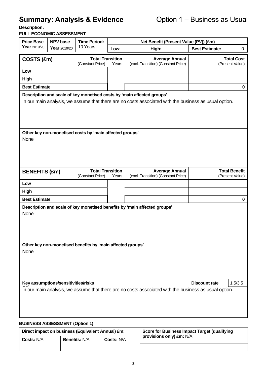# **Summary: Analysis & Evidence Option 1 – Business as Usual**

**Description:** 

#### **FULL ECONOMIC ASSESSMENT**

| <b>Price Base</b><br><b>NPV</b> base                                                                  |                                                                           |  | <b>Time Period:</b>                                     |       |  |                                                                                                       | Net Benefit (Present Value (PV)) (£m) |                                         |  |
|-------------------------------------------------------------------------------------------------------|---------------------------------------------------------------------------|--|---------------------------------------------------------|-------|--|-------------------------------------------------------------------------------------------------------|---------------------------------------|-----------------------------------------|--|
| Year 2019/20                                                                                          | Year 2019/20                                                              |  | 10 Years                                                | Low:  |  | High:                                                                                                 | <b>Best Estimate:</b>                 | 0                                       |  |
|                                                                                                       | COSTS (£m)                                                                |  | <b>Total Transition</b><br>(Constant Price)<br>Years    |       |  | <b>Average Annual</b><br>(excl. Transition) (Constant Price)                                          |                                       | <b>Total Cost</b><br>(Present Value)    |  |
| Low                                                                                                   |                                                                           |  |                                                         |       |  |                                                                                                       |                                       |                                         |  |
| <b>High</b>                                                                                           |                                                                           |  |                                                         |       |  |                                                                                                       |                                       |                                         |  |
| <b>Best Estimate</b>                                                                                  |                                                                           |  |                                                         |       |  |                                                                                                       |                                       | 0                                       |  |
| Description and scale of key monetised costs by 'main affected groups'                                |                                                                           |  |                                                         |       |  |                                                                                                       |                                       |                                         |  |
|                                                                                                       |                                                                           |  |                                                         |       |  | In our main analysis, we assume that there are no costs associated with the business as usual option. |                                       |                                         |  |
| None                                                                                                  |                                                                           |  | Other key non-monetised costs by 'main affected groups' |       |  |                                                                                                       |                                       |                                         |  |
| <b>BENEFITS (£m)</b>                                                                                  |                                                                           |  | <b>Total Transition</b><br>(Constant Price)             | Years |  | <b>Average Annual</b><br>(excl. Transition) (Constant Price)                                          |                                       | <b>Total Benefit</b><br>(Present Value) |  |
| Low                                                                                                   |                                                                           |  |                                                         |       |  |                                                                                                       |                                       |                                         |  |
| <b>High</b>                                                                                           |                                                                           |  |                                                         |       |  |                                                                                                       |                                       |                                         |  |
| <b>Best Estimate</b>                                                                                  |                                                                           |  |                                                         |       |  |                                                                                                       |                                       | 0                                       |  |
| None                                                                                                  | Description and scale of key monetised benefits by 'main affected groups' |  |                                                         |       |  |                                                                                                       |                                       |                                         |  |
| Other key non-monetised benefits by 'main affected groups'<br>None                                    |                                                                           |  |                                                         |       |  |                                                                                                       |                                       |                                         |  |
| Key assumptions/sensitivities/risks                                                                   |                                                                           |  |                                                         |       |  |                                                                                                       | <b>Discount rate</b>                  | 1.5/3.5                                 |  |
| In our main analysis, we assume that there are no costs associated with the business as usual option. |                                                                           |  |                                                         |       |  |                                                                                                       |                                       |                                         |  |
| <b>BUSINESS ASSESSMENT (Option 1)</b>                                                                 |                                                                           |  |                                                         |       |  |                                                                                                       |                                       |                                         |  |
|                                                                                                       |                                                                           |  | Direct impact on business (Equivalent Annual) £m:       |       |  | Score for Business Impact Target (qualifying                                                          |                                       |                                         |  |

|            | Direct impact on business (Equivalent Annual) £m: |                   | Score for Business Impact Target (qualifying |
|------------|---------------------------------------------------|-------------------|----------------------------------------------|
| Costs: N/A | <b>Benefits: N/A</b>                              | <b>Costs: N/A</b> | provisions only) £m: N/A                     |
|            |                                                   |                   |                                              |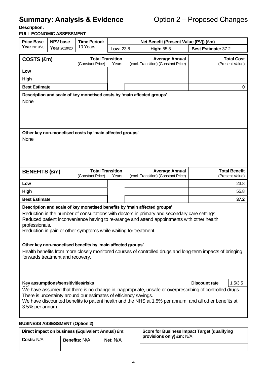# **Summary: Analysis & Evidence** Option 2 – Proposed Changes

**Description:** 

#### **FULL ECONOMIC ASSESSMENT**

| <b>Price Base</b>                                                                                                                                                                                                                                                                                                                                               | <b>Time Period:</b><br><b>NPV</b> base<br>Net Benefit (Present Value (PV)) (£m) |  |                                                            |                                  |  |                                                              |                            |               |                                         |
|-----------------------------------------------------------------------------------------------------------------------------------------------------------------------------------------------------------------------------------------------------------------------------------------------------------------------------------------------------------------|---------------------------------------------------------------------------------|--|------------------------------------------------------------|----------------------------------|--|--------------------------------------------------------------|----------------------------|---------------|-----------------------------------------|
| Year 2019/20                                                                                                                                                                                                                                                                                                                                                    | Year 2019/20                                                                    |  | 10 Years                                                   | Low: 23.8                        |  | <b>High: 55.8</b>                                            | <b>Best Estimate: 37.2</b> |               |                                         |
|                                                                                                                                                                                                                                                                                                                                                                 | COSTS (£m)                                                                      |  | (Constant Price)                                           | <b>Total Transition</b><br>Years |  | <b>Average Annual</b><br>(excl. Transition) (Constant Price) |                            |               | <b>Total Cost</b><br>(Present Value)    |
| Low                                                                                                                                                                                                                                                                                                                                                             |                                                                                 |  |                                                            |                                  |  |                                                              |                            |               |                                         |
| High                                                                                                                                                                                                                                                                                                                                                            |                                                                                 |  |                                                            |                                  |  |                                                              |                            |               |                                         |
| <b>Best Estimate</b>                                                                                                                                                                                                                                                                                                                                            |                                                                                 |  |                                                            |                                  |  |                                                              |                            |               | 0                                       |
| Description and scale of key monetised costs by 'main affected groups'                                                                                                                                                                                                                                                                                          |                                                                                 |  |                                                            |                                  |  |                                                              |                            |               |                                         |
| None                                                                                                                                                                                                                                                                                                                                                            |                                                                                 |  |                                                            |                                  |  |                                                              |                            |               |                                         |
| Other key non-monetised costs by 'main affected groups'<br>None                                                                                                                                                                                                                                                                                                 |                                                                                 |  |                                                            |                                  |  |                                                              |                            |               |                                         |
| <b>BENEFITS (£m)</b>                                                                                                                                                                                                                                                                                                                                            |                                                                                 |  | <b>Total Transition</b><br>(Constant Price)                | Years                            |  | <b>Average Annual</b><br>(excl. Transition) (Constant Price) |                            |               | <b>Total Benefit</b><br>(Present Value) |
| Low                                                                                                                                                                                                                                                                                                                                                             |                                                                                 |  |                                                            |                                  |  |                                                              |                            |               | 23.8                                    |
| High                                                                                                                                                                                                                                                                                                                                                            |                                                                                 |  |                                                            |                                  |  |                                                              |                            |               | 55.8                                    |
| <b>Best Estimate</b>                                                                                                                                                                                                                                                                                                                                            |                                                                                 |  |                                                            |                                  |  |                                                              |                            |               | 37.2                                    |
|                                                                                                                                                                                                                                                                                                                                                                 |                                                                                 |  |                                                            |                                  |  |                                                              |                            |               |                                         |
| Description and scale of key monetised benefits by 'main affected groups'<br>Reduction in the number of consultations with doctors in primary and secondary care settings.<br>Reduced patient inconvenience having to re-arange and attend appointments with other health<br>professionals.<br>Reduction in pain or other symptoms while waiting for treatment. |                                                                                 |  |                                                            |                                  |  |                                                              |                            |               |                                         |
|                                                                                                                                                                                                                                                                                                                                                                 |                                                                                 |  | Other key non-monetised benefits by 'main affected groups' |                                  |  |                                                              |                            |               |                                         |
| Health benefits from more closely monitored courses of controlled drugs and long-term impacts of bringing<br>forwards treatment and recovery.                                                                                                                                                                                                                   |                                                                                 |  |                                                            |                                  |  |                                                              |                            |               |                                         |
| Key assumptions/sensitivities/risks                                                                                                                                                                                                                                                                                                                             |                                                                                 |  |                                                            |                                  |  |                                                              |                            | Discount rate | 1.5/3.5                                 |
| We have assumed that there is no change in inappropriate, unsafe or overprescribing of controlled drugs.<br>There is uncertainty around our estimates of efficiency savings.<br>We have discounted benefits to patient health and the NHS at 1.5% per annum, and all other benefits at<br>3.5% per annum                                                        |                                                                                 |  |                                                            |                                  |  |                                                              |                            |               |                                         |
| <b>BUSINESS ASSESSMENT (Option 2)</b>                                                                                                                                                                                                                                                                                                                           |                                                                                 |  |                                                            |                                  |  |                                                              |                            |               |                                         |
|                                                                                                                                                                                                                                                                                                                                                                 |                                                                                 |  |                                                            |                                  |  |                                                              |                            |               |                                         |

| Direct impact on business (Equivalent Annual) £m: |                                    |  | Score for Business Impact Target (qualifying |
|---------------------------------------------------|------------------------------------|--|----------------------------------------------|
| <b>Costs: N/A</b>                                 | Net: $N/A$<br><b>Benefits: N/A</b> |  | provisions only) £m: N/A                     |
|                                                   |                                    |  |                                              |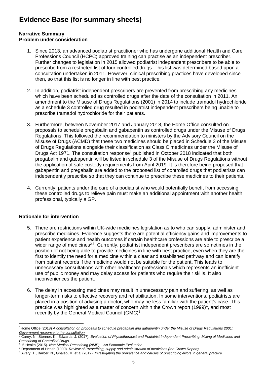# **Evidence Base (for summary sheets)**

#### **Narrative Summary Problem under consideration**

- 1. Since 2013, an advanced podiatrist practitioner who has undergone additional Health and Care Professions Council (HCPC) approved training can practise as an independent prescriber. Further changes to legislation in 2015 allowed podiatrist independent prescribers to be able to prescribe from a restricted list of four controlled drugs. This list was determined based upon a consultation undertaken in 2011. However, clinical prescribing practices have developed since then, so that this list is no longer in line with best practice.
- 2. In addition, podiatrist independent prescribers are prevented from prescribing any medicines which have been scheduled as controlled drugs after the date of the consultation in 2011. An amendment to the Misuse of Drugs Regulations (2001) in 2014 to include tramadol hydrochloride as a schedule 3 controlled drug resulted in podiatrist independent prescribers being unable to prescribe tramadol hydrochloride for their patients.
- 3. Furthermore, between November 2017 and January 2018, the Home Office consulted on proposals to schedule pregabalin and gabapentin as controlled drugs under the Misuse of Drugs Regulations. This followed the recommendation to ministers by the Advisory Council on the Misuse of Drugs (ACMD) that these two medicines should be placed in Schedule 3 of the Misuse of Drugs Regulations alongside their classification as Class C medicines under the Misuse of Drugs Act 1971. The consultation response<sup>1</sup> published in October 2018 indicated that both pregabalin and gabapentin will be listed in schedule 3 of the Misuse of Drugs Regulations without the application of safe custody requirements from April 2019. It is therefore being proposed that gabapentin and pregabalin are added to the proposed list of controlled drugs that podiatrists can independently prescribe so that they can continue to prescribe these medicines to their patients.
- 4. Currently, patients under the care of a podiatrist who would potentially benefit from accessing these controlled drugs to relieve pain must make an additional appointment with another health professional, typically a GP.

#### **Rationale for intervention**

- <span id="page-4-1"></span><span id="page-4-0"></span>5. There are restrictions within UK-wide medicines legislation as to who can supply, administer and prescribe medicines. Evidence suggests there are potential efficiency gains and improvements to patient experience and health outcomes if certain healthcare professions are able to prescribe a wider range of medicines<sup>2,3</sup>. Currently, podiatrist independent prescribers are sometimes in the position of not being able to provide medicines in line with best practice, even when they are the first to identify the need for a medicine within a clear and established pathway and can identify from patient records if the medicine would not be suitable for the patient. This leads to unnecessary consultations with other healthcare professionals which represents an inefficient use of public money and may delay access for patients who require their skills. It also inconveniences the patient.
- 6. The delay in accessing medicines may result in unnecessary pain and suffering, as well as longer-term risks to effective recovery and rehabilitation. In some interventions, podiatrists are placed in a position of advising a doctor, who may be less familiar with the patient's case. This practice was highlighted as a matter of concern within the Crown report  $(1999)^4$ , and most recently by the General Medical Council (GMC)<sup>5</sup>.

<sup>1</sup>Home Office (2018) *[A consultation on proposals to schedule pregabalin and gabapentin under the Misuse of Drugs](https://assets.publishing.service.gov.uk/government/uploads/system/uploads/attachment_data/file/748439/consultation-response-pregabalin-gabapentin.pdf) Regulations 2001: [Government response to the consultation](https://assets.publishing.service.gov.uk/government/uploads/system/uploads/attachment_data/file/748439/consultation-response-pregabalin-gabapentin.pdf)*

<sup>2</sup> Carey, N., Stenner, K., Edwards, J. (2017). *Evaluation of Physiotherapist and Podiatrist Independent Prescribing, Mixing of Medicines and Prescribing of Controlled Drugs.*

<sup>3</sup> I5 Health (2015). *Non-Medical Prescribing (NMP) – An Economic Evaluation*

<sup>4</sup> Department of Health (1999). *Review of Prescribing, supply and administration of medicines (the Crown Report).* 

<sup>5</sup> Avery, T., Barber, N., Ghaleb, M. et al (2012). *Investigating the prevalence and causes of prescribing errors in general practice.*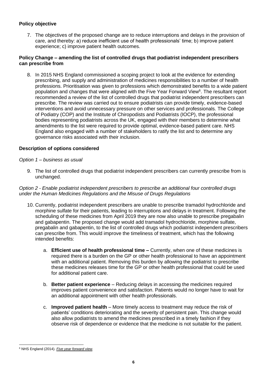#### **Policy objective**

7. The objectives of the proposed change are to reduce interruptions and delays in the provision of care, and thereby: a) reduce inefficient use of health professionals' time; b) improve patient experience; c) improve patient health outcomes.

#### **Policy Change – amending the list of controlled drugs that podiatrist independent prescribers can prescribe from**

8. In 2015 NHS England commissioned a scoping project to look at the evidence for extending prescribing, and supply and administration of medicines responsibilities to a number of health professions. Prioritisation was given to professions which demonstrated benefits to a wide patient population and changes that were aligned with the Five Year Forward View<sup>6</sup>. The resultant report recommended a review of the list of controlled drugs that podiatrist independent prescribers can prescribe. The review was carried out to ensure podiatrists can provide timely, evidence-based interventions and avoid unnecessary pressure on other services and professionals. The College of Podiatry (COP) and the Institute of Chiropodists and Podiatrists (IOCP), the professional bodies representing podiatrists across the UK, engaged with their members to determine what amendments to the list were required to provide optimal, evidence-based patient care. NHS England also engaged with a number of stakeholders to ratify the list and to determine any governance risks associated with their inclusion.

#### **Description of options considered**

#### *Option 1 – business as usual*

9. The list of controlled drugs that podiatrist independent prescribers can currently prescribe from is unchanged.

#### *Option 2 - Enable podiatrist independent prescribers to prescribe an additional four controlled drugs under the Human Medicines Regulations and the Misuse of Drugs Regulations*

- 10. Currently, podiatrist independent prescribers are unable to prescribe tramadol hydrochloride and morphine sulfate for their patients, leading to interruptions and delays in treatment. Following the scheduling of these medicines from April 2019 they are now also unable to prescribe pregabalin and gabapentin. The proposed change would add tramadol hydrochloride, morphine sulfate, pregabalin and gabapentin, to the list of controlled drugs which podiatrist independent prescribers can prescribe from. This would improve the timeliness of treatment, which has the following intended benefits:
	- a. **Efficient use of health professional time –** Currently, when one of these medicines is required there is a burden on the GP or other health professional to have an appointment with an additional patient. Removing this burden by allowing the podiatrist to prescribe these medicines releases time for the GP or other health professional that could be used for additional patient care.
	- b. **Better patient experience** Reducing delays in accessing the medicines required improves patient convenience and satisfaction. Patients would no longer have to wait for an additional appointment with other health professionals.
	- c. **Improved patient health** More timely access to treatment may reduce the risk of patients' conditions deteriorating and the severity of persistent pain. This change would also allow podiatrists to amend the medicines prescribed in a timely fashion if they observe risk of dependence or evidence that the medicine is not suitable for the patient.

<sup>6</sup> NHS England (2014). *[Five year forward view.](https://www.england.nhs.uk/wp-content/uploads/2014/10/5yfv-web.pdf)*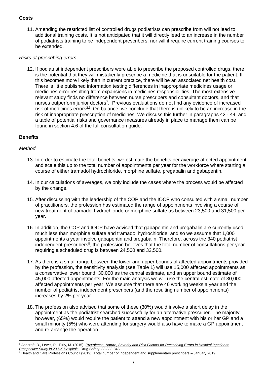#### **Costs**

11. Amending the restricted list of controlled drugs podiatrists can prescribe from will not lead to additional training costs. It is not anticipated that it will directly lead to an increase in the number of podiatrists training to be independent prescribers, nor will it require current training courses to be extended.

#### *Risks of prescribing errors*

12. If podiatrist independent prescribers were able to prescribe the proposed controlled drugs, there is the potential that they will mistakenly prescribe a medicine that is unsuitable for the patient. If this becomes more likely than in current practice, there will be an associated net health cost. There is little published information testing differences in inappropriate medicines usage or medicines error resulting from expansions in medicines responsibilities. The most extensive relevant study finds no difference between nurse prescribers and consultant doctors, and that nurses outperform junior doctors<sup>7</sup>. Previous evaluations do not find any evidence of increased risk of medicines errors<sup>[2](#page-4-0)[,3.](#page-4-1)</sup> On balance, we conclude that there is unlikely to be an increase in the risk of inappropriate prescription of medicines. We discuss this further in paragraphs 42 - 44, and a table of potential risks and governance measures already in place to manage them can be found in section 4.6 of the full consultation guide.

#### **Benefits**

#### *Method*

- 13. In order to estimate the total benefits, we estimate the benefits per average affected appointment, and scale this up to the total number of appointments per year for the workforce where starting a course of either tramadol hydrochloride, morphine sulfate, pregabalin and gabapentin.
- 14. In our calculations of averages, we only include the cases where the process would be affected by the change.
- 15. After discussing with the leadership of the COP and the IOCP who consulted with a small number of practitioners, the profession has estimated the range of appointments involving a course of new treatment of tramadol hydrochloride or morphine sulfate as between 23,500 and 31,500 per year.
- 16. In addition, the COP and IOCP have advised that gabapentin and pregabalin are currently used much less than morphine sulfate and tramadol hydrochloride, and so we assume that 1,000 appointments a year involve gabapentin and pregabalin. Therefore, across the 340 podiatrist independent prescribers<sup>8</sup>, the profession believes that the total number of consultations per year requiring a scheduled drug is between 24,500 and 32,500.
- 17. As there is a small range between the lower and upper bounds of affected appointments provided by the profession, the sensitivity analysis (see Table 1) will use 15,000 affected appointments as a conservative lower bound, 30,000 as the central estimate, and an upper bound estimate of 45,000 affected appointments. For the main analysis we will use the central estimate of 30,000 affected appointments per year. We assume that there are 46 working weeks a year and the number of podiatrist independent prescribers (and the resulting number of appointments) increases by 2% per year.
- 18. The profession also advised that some of these (30%) would involve a short delay in the appointment as the podiatrist searched successfully for an alternative prescriber. The majority however, (65%) would require the patient to attend a new appointment with his or her GP and a small minority (5%) who were attending for surgery would also have to make a GP appointment and re-arrange the operation.

<sup>7</sup> Ashcroft, D., Lewis, P., Tully, M. (2015). *[Prevalence, Nature, Severity and Risk Factors for Prescribing Errors in Hospital Inpatients:](https://link.springer.com/article/10.1007%2Fs40264-015-0320-x)  [Prospective Study in 20 UK Hospitals.](https://link.springer.com/article/10.1007%2Fs40264-015-0320-x)* Drug Safety, 38:833-843

<sup>&</sup>lt;sup>8</sup> Health and Care Professions Council (2019)[. Total number of independent and supplementary prescribers –](https://www.hcpc-uk.org/globalassets/resources/freedom-of-information/2019/01.-january/total-number-of-independent-and-supplementary-prescribers---january-2019.pdf) January 2019.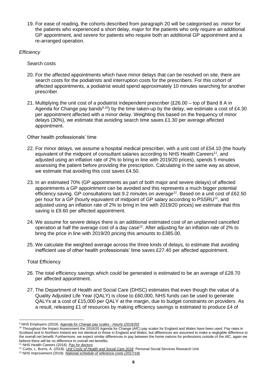19. For ease of reading, the cohorts described from paragraph 20 will be categorised as: *minor* for the patients who experienced a short delay, *major* for the patients who only require an additional GP appointment, and *severe* for patients who require both an additional GP appointment and a re-arranged operation.

#### *Efficiency*

Search costs

- 20. For the affected appointments which have minor delays that can be resolved on site, there are search costs for the podiatrists and interruption costs for the prescribers. For this cohort of affected appointments, a podiatrist would spend approximately 10 minutes searching for another prescriber.
- 21. Multiplying the unit cost of a podiatrist independent prescriber (£26.00 top of Band 8 A in Agenda for Change pay bands<sup>9,10</sup>) by the time taken-up by the delay, we estimate a cost of £4.30 per appointment affected with a minor delay. Weighting this based on the frequency of minor delays (30%), we estimate that avoiding search time saves £1.30 per average affected appointment.

#### Other health professionals' time

- 22. For minor delays, we assume a hospital medical prescriber, with a unit cost of £54.10 (the hourly equivalent of the midpoint of consultant salaries according to NHS Health Careers<sup>11</sup>, and adjusted using an inflation rate of 2% to bring in line with 2019/20 prices), spends 5 minutes assessing the patient before providing the prescription. Calculating in the same way as above, we estimate that avoiding this cost saves £4.50.
- <span id="page-7-0"></span>23. In an estimated 70% (GP appointments as part of both major and severe delays) of affected appointments a GP appointment can be avoided and this represents a much bigger potential efficiency saving. GP consultations last 9.2 minutes on average<sup>12</sup>. Based on a unit cost of £62.50 per hour for a GP (hourly equivalent of midpoint of GP salary according to PSSRU<sup>[12](#page-7-0)</sup>, and adjusted using an inflation rate of 2% to bring in line with 2019/20 prices) we estimate that this saving is £9.60 per affected appointment.
- 24. We assume for severe delays there is an additional estimated cost of an unplanned cancelled operation at half the average cost of a day case<sup>13</sup>. After adjusting for an inflation rate of 2% to bring the price in line with 2019/20 pricing this amounts to £385.00.
- 25. We calculate the weighted average across the three kinds of delays, to estimate that avoiding inefficient use of other health professionals' time saves £27.40 per affected appointment.

#### Total Efficiency

- 26. The total efficiency savings which could be generated is estimated to be an average of £28.70 per affected appointment.
- 27. The Department of Health and Social Care (DHSC) estimates that even though the value of a Quality Adjusted Life Year (QALY) is close to £60,000, NHS funds can be used to generate QALYs at a cost of £15,000 per QALY at the margin, due to budget constraints on providers. As a result, releasing £1 of resources by making efficiency savings is estimated to produce £4 of

<sup>9</sup> NHS Employers (2019). *[Agenda for Change pay scales -](https://www.nhsemployers.org/pay-pensions-and-reward/agenda-for-change/pay-scales/hourly) Hourly (2019/20)*

<sup>&</sup>lt;sup>10</sup> Throughout the Impact Assessment the 2019/20 Agenda for Change (AfC) pay scales for England and Wales have been used. Pay rates in Scotland and in Northern Ireland are not identical to those in England and Wales, but differences are assumed to make a negligible difference to the overall net benefit. Furthermore, we expect similar differences in pay between the home nations for professions outside of the AfC, again we believe there will be no difference to overall net benefits.

<sup>11</sup> NHS Health Careers (2018). *[Pay for doctors.](https://www.healthcareers.nhs.uk/explore-roles/doctors/pay-doctors)*

<sup>12</sup> Curtis, L. Burns, A. (2018). *[Unit Costs of Health and Social Care 2018.](https://www.pssru.ac.uk/project-pages/unit-costs/unit-costs-2018/)* Personal Social Services Research Unit

<sup>13</sup> NHS Improvement (2018). *[National schedule of reference costs](https://improvement.nhs.uk/documents/1973/2_-_National_schedule_of_reference_costs_v2.xlsx) (2017/18)*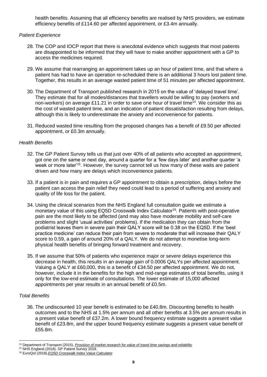health benefits. Assuming that all efficiency benefits are realised by NHS providers, we estimate efficiency benefits of £114.60 per affected appointment, or £3.4m annually.

#### *Patient Experience*

- 28. The COP and IOCP report that there is anecdotal evidence which suggests that most patients are disappointed to be informed that they will have to make another appointment with a GP to access the medicines required.
- 29. We assume that rearranging an appointment takes up an hour of patient time, and that where a patient has had to have an operation re-scheduled there is an additional 3 hours lost patient time. Together, this results in an average wasted patient time of 51 minutes per affected appointment.
- 30. The Department of Transport published research in 2015 on the value of 'delayed travel time'. They estimate that for all modes/distances that travellers would be willing to pay (workers and non-workers) on average £11.21 in order to save one hour of travel time<sup>14</sup>. We consider this as the cost of wasted patient time, and an indication of patient dissatisfaction resulting from delays, although this is likely to underestimate the anxiety and inconvenience for patients.
- 31. Reduced wasted time resulting from the proposed changes has a benefit of £9.50 per affected appointment, or £0.3m annually.

#### *Health Benefits*

- 32. The GP Patient Survey tells us that just over 40% of all patients who accepted an appointment, got one on the same or next day, around a quarter for a 'few days later' and another quarter 'a week or more later<sup>15</sup>. However, the survey cannot tell us how many of these waits are patient driven and how many are delays which inconvenience patients.
- 33. If a patient is in pain and requires a GP appointment to obtain a prescription, delays before the patient can access the pain relief they need could lead to a period of suffering and anxiety and quality of life loss for the patient.
- 34. Using the clinical scenarios from the NHS England full consultation guide we estimate a monetary value of this using EQ5D Crosswalk Index Calculator<sup>16</sup>. Patients with post-operative pain are the most likely to be affected (and may also have moderate mobility and self-care problems and slight 'usual activities' problems). If the medication they can obtain from the podiatrist leaves them in severe pain their QALY score will be 0.38 on the EQ5D. If the 'best practice medicine' can reduce their pain from severe to moderate that will increase their QALY score to 0.59, a gain of around 20% of a QALY. We do not attempt to monetise long-term physical health benefits of bringing forward treatment and recovery.
- 35. If we assume that 50% of patients who experience major or severe delays experience this decrease in health, this results in an average gain of 0.0006 QALYs per affected appointment. Valuing a QALY at £60,000, this is a benefit of £34.50 per affected appointment. We do not, however, include it in the benefits for the high and mid-range estimates of total benefits, using it only for the low-end estimate of consultations. The lower estimate of 15,000 affected appointments per year results in an annual benefit of £0.5m.

#### *Total Benefits*

36. The undiscounted 10 year benefit is estimated to be £40.8m. Discounting benefits to health outcomes and to the NHS at 1.5% per annum and all other benefits at 3.5% per annum results in a present value benefit of £37.2m. A lower bound frequency estimate suggests a present value benefit of £23.8m, and the upper bound frequency estimate suggests a present value benefit of £55.8m.

<sup>14</sup> Department of Transport (2015). *[Provision of market research for value of](https://assets.publishing.service.gov.uk/government/uploads/system/uploads/attachment_data/file/470229/vtts-phase-2-report-non-technical-summary-issue-august-2015.pdf) travel time savings and reliability*

<sup>15</sup> NHS England (2018). GP Patient Survey 2018.

<sup>16</sup> EuroQol (2018).*[EQ5D Crosswalk Index Value Calculator](https://euroqol.org/eq-5d-instruments/eq-5d-5l-about/valuation-standard-value-sets/crosswalk-index-value-calculator/)*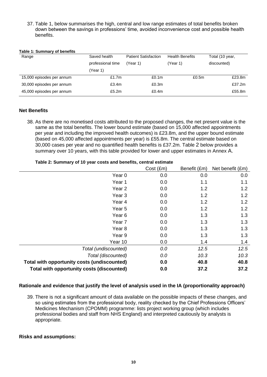37. Table 1, below summarises the high, central and low range estimates of total benefits broken down between the savings in professions' time, avoided inconvenience cost and possible health benefits.

#### **Table 1: Summary of benefits**

| Range                     | Saved health      | <b>Patient Satisfaction</b> | <b>Health Benefits</b> | Total (10 year, |
|---------------------------|-------------------|-----------------------------|------------------------|-----------------|
|                           | professional time | (Year 1)                    | (Year 1)               | discounted)     |
|                           | (Year 1)          |                             |                        |                 |
| 15,000 episodes per annum | £1.7 $m$          | £0.1 <sub>m</sub>           | £0.5m                  | £23.8m          |
| 30,000 episodes per annum | £3.4m             | £0.3m                       |                        | £37.2m          |
| 45,000 episodes per annum | £5.2m             | £0.4m                       |                        | £55.8m          |

#### **Net Benefits**

38. As there are no monetised costs attributed to the proposed changes, the net present value is the same as the total benefits. The lower bound estimate (based on 15,000 affected appointments per year and including the improved health outcomes) is £23.8m, and the upper bound estimate (based on 45,000 affected appointments per year) is £55.8m. The central estimate based on 30,000 cases per year and no quantified health benefits is £37.2m. Table 2 below provides a summary over 10 years, with this table provided for lower and upper estimates in Annex A.

**Table 2: Summary of 10 year costs and benefits, central estimate** 

|                                             | Cost (Em) | Benefit (£m) | Net benefit (£m) |
|---------------------------------------------|-----------|--------------|------------------|
| Year <sub>0</sub>                           | 0.0       | 0.0          | 0.0              |
| Year 1                                      | 0.0       | 1.1          | 1.1              |
| Year <sub>2</sub>                           | 0.0       | 1.2          | 1.2              |
| Year <sub>3</sub>                           | 0.0       | 1.2          | 1.2              |
| Year 4                                      | 0.0       | 1.2          | 1.2              |
| Year <sub>5</sub>                           | 0.0       | 1.2          | 1.2              |
| Year <sub>6</sub>                           | 0.0       | 1.3          | 1.3              |
| Year 7                                      | 0.0       | 1.3          | 1.3              |
| Year <sub>8</sub>                           | 0.0       | 1.3          | 1.3              |
| Year 9                                      | 0.0       | 1.3          | 1.3              |
| Year 10                                     | 0.0       | 1.4          | 1.4              |
| Total (undiscounted)                        | 0.0       | 12.5         | 12.5             |
| Total (discounted)                          | 0.0       | 10.3         | 10.3             |
| Total with opportunity costs (undiscounted) | 0.0       | 40.8         | 40.8             |
| Total with opportunity costs (discounted)   | 0.0       | 37.2         | 37.2             |

## **Rationale and evidence that justify the level of analysis used in the IA (proportionality approach)**

39. There is not a significant amount of data available on the possible impacts of these changes, and so using estimates from the professional body, reality checked by the Chief Professions Officers' Medicines Mechanism (CPOMM) programme: lists project working group (which includes professional bodies and staff from NHS England) and interpreted cautiously by analysts is appropriate.

#### **Risks and assumptions:**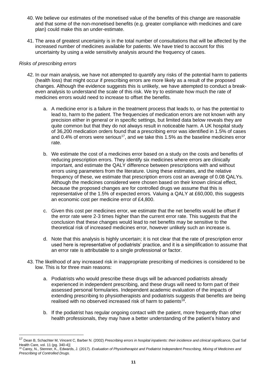- 40. We believe our estimates of the monetised value of the benefits of this change are reasonable and that some of the non-monetised benefits (e.g. greater compliance with medicines and care plan) could make this an under-estimate.
- 41. The area of greatest uncertainty is in the total number of consultations that will be affected by the increased number of medicines available for patients. We have tried to account for this uncertainty by using a wide sensitivity analysis around the frequency of cases.

#### *Risks of prescribing errors*

- 42. In our main analysis, we have not attempted to quantify any risks of the potential harm to patients (health loss) that might occur if prescribing errors are more likely as a result of the proposed changes. Although the evidence suggests this is unlikely, we have attempted to conduct a breakeven analysis to understand the scale of this risk. We try to estimate how much the rate of medicines errors would need to increase to offset the benefits.
	- a. A medicine error is a failure in the treatment process that leads to, or has the potential to lead to, harm to the patient. The frequencies of medication errors are not known with any precision either in general or in specific settings, but limited data below reveals they are quite common but that they do not always result in noticeable harm. A UK hospital study of 36,200 medication orders found that a prescribing error was identified in 1.5% of cases and 0.4% of errors were serious<sup>17</sup>, and we take this 1.5% as the baseline medicines error rate.
	- b. We estimate the cost of a medicines error based on a study on the costs and benefits of reducing prescription errors. They identify six medicines where errors are clinically important, and estimate the QALY difference between prescriptions with and without errors using parameters from the literature. Using these estimates, and the relative frequency of these, we estimate that prescription errors cost an average of 0.08 QALYs. Although the medicines considered were chosen based on their known clinical effect, because the proposed changes are for controlled drugs we assume that this is representative of the 1.5% of expected errors. Valuing a QALY at £60,000, this suggests an economic cost per medicine error of £4,800.
	- c. Given this cost per medicines error, we estimate that the net benefits would be offset if the error rate were 2-3 times higher than the current error rate. This suggests that the conclusion that these changes would lead to net benefits may be sensitive to the theoretical risk of increased medicines error, however unlikely such an increase is.
	- d. Note that this analysis is highly uncertain; it is not clear that the rate of prescription error used here is representative of podiatrists' practice, and it is a simplification to assume that an error rate is attributable to a single professional or factor.
- 43. The likelihood of any increased risk in inappropriate prescribing of medicines is considered to be low. This is for three main reasons:
	- a. Podiatrists who would prescribe these drugs will be advanced podiatrists already experienced in independent prescribing, and these drugs will need to form part of their assessed personal formularies. Independent academic evaluation of the impacts of extending prescribing to physiotherapists and podiatrists suggests that benefits are being realised with no observed increased risk of harm to patients<sup>18</sup>.
	- b. If the podiatrist has regular ongoing contact with the patient, more frequently than other health professionals, they may have a better understanding of the patient's history and

<sup>17</sup> Dean B, Schachter M, Vincent C, Barber N. (2002) *Prescribing errors in hospital inpatients: their incidence and clinical significance*, Qual Saf Health Care, vol. 11 (pg. 340-4)]

<sup>&</sup>lt;sup>18</sup> Carey, N., Stenner, K., Edwards, J. (2017). *Evaluation of Physiotherapist and Podiatrist Independent Prescribing, Mixing of Medicines and Prescribing of Controlled Drugs.*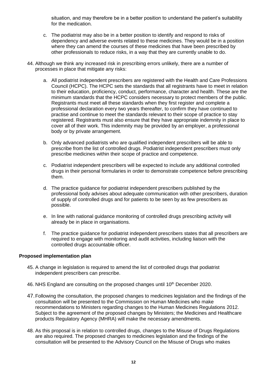situation, and may therefore be in a better position to understand the patient's suitability for the medication.

- c. The podiatrist may also be in a better position to identify and respond to risks of dependency and adverse events related to these medicines. They would be in a position where they can amend the courses of these medicines that have been prescribed by other professionals to reduce risks, in a way that they are currently unable to do.
- 44. Although we think any increased risk in prescribing errors unlikely, there are a number of processes in place that mitigate any risks:
	- a. All podiatrist independent prescribers are registered with the Health and Care Professions Council (HCPC). The HCPC sets the standards that all registrants have to meet in relation to their education, proficiency, conduct, performance, character and health. These are the minimum standards that the HCPC considers necessary to protect members of the public. Registrants must meet all these standards when they first register and complete a professional declaration every two years thereafter, to confirm they have continued to practise and continue to meet the standards relevant to their scope of practice to stay registered. Registrants must also ensure that they have appropriate indemnity in place to cover all of their work. This indemnity may be provided by an employer, a professional body or by private arrangement.
	- b. Only advanced podiatrists who are qualified independent prescribers will be able to prescribe from the list of controlled drugs. Podiatrist independent prescribers must only prescribe medicines within their scope of practice and competence.
	- c. Podiatrist independent prescribers will be expected to include any additional controlled drugs in their personal formularies in order to demonstrate competence before prescribing them.
	- d. The practice guidance for podiatrist independent prescribers published by the professional body advises about adequate communication with other prescribers, duration of supply of controlled drugs and for patients to be seen by as few prescribers as possible.
	- e. In line with national guidance monitoring of controlled drugs prescribing activity will already be in place in organisations.
	- f. The practice guidance for podiatrist independent prescribers states that all prescribers are required to engage with monitoring and audit activities, including liaison with the controlled drugs accountable officer.

#### **Proposed implementation plan**

- 45. A change in legislation is required to amend the list of controlled drugs that podiatrist independent prescribers can prescribe.
- 46. NHS England are consulting on the proposed changes until 10<sup>th</sup> December 2020.
- 47.Following the consultation, the proposed changes to medicines legislation and the findings of the consultation will be presented to the Commission on Human Medicines who make recommendations to Ministers regarding changes to the Human Medicines Regulations 2012. Subject to the agreement of the proposed changes by Ministers; the Medicines and Healthcare products Regulatory Agency (MHRA) will make the necessary amendments.
- 48. As this proposal is in relation to controlled drugs, changes to the Misuse of Drugs Regulations are also required. The proposed changes to medicines legislation and the findings of the consultation will be presented to the Advisory Council on the Misuse of Drugs who makes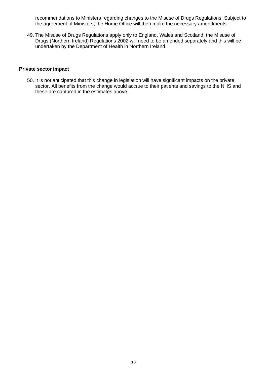recommendations to Ministers regarding changes to the Misuse of Drugs Regulations. Subject to the agreement of Ministers, the Home Office will then make the necessary amendments.

49. The Misuse of Drugs Regulations apply only to England, Wales and Scotland; the Misuse of Drugs (Northern Ireland) Regulations 2002 will need to be amended separately and this will be undertaken by the Department of Health in Northern Ireland.

#### **Private sector impact**

50. It is not anticipated that this change in legislation will have significant impacts on the private sector. All benefits from the change would accrue to their patients and savings to the NHS and these are captured in the estimates above.